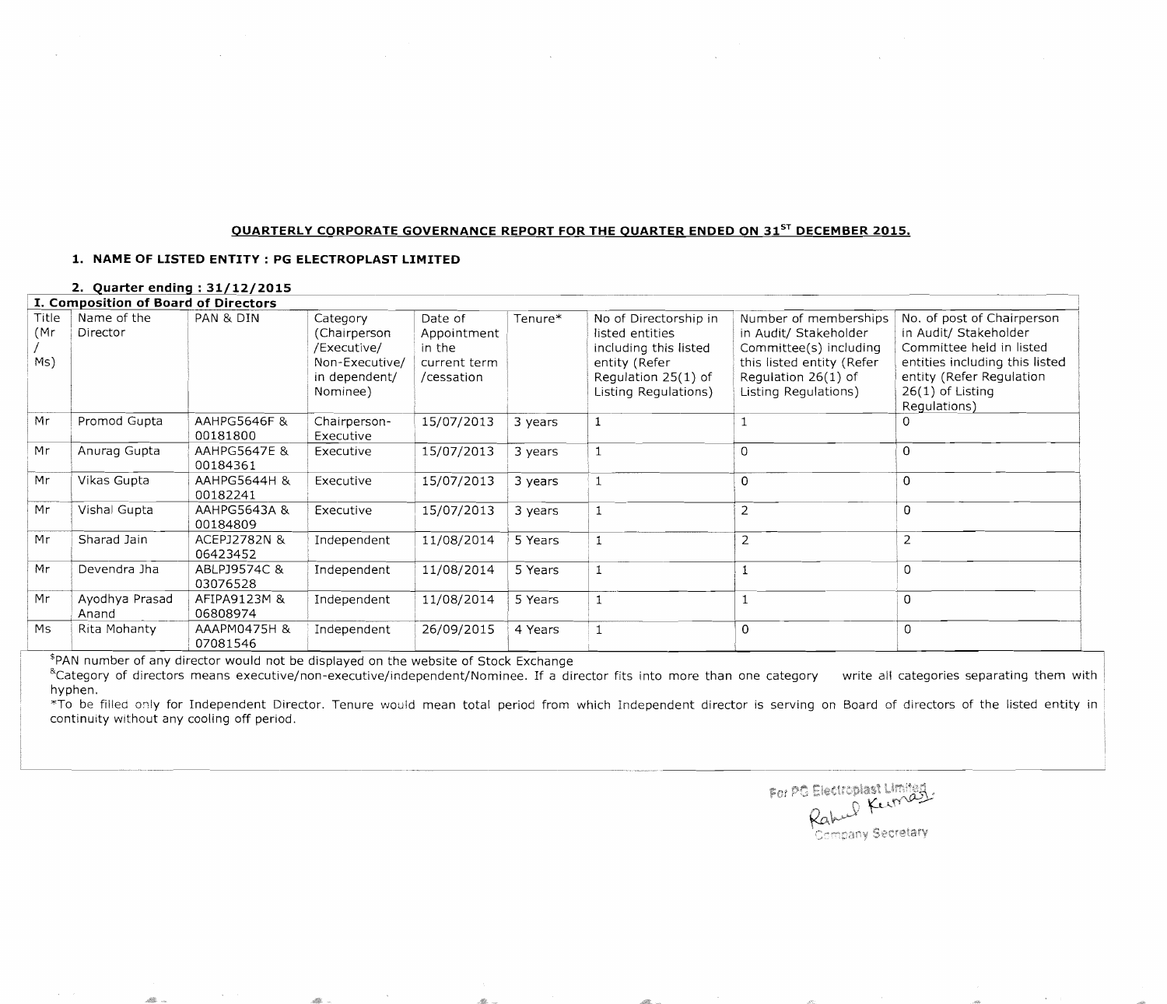## **OUARTERLY CORPORATE GOVERNANCE REPORT FOR THE QUARTER ENDED ON 31sT DECEMBER 2015.**

## **1. NAME OF LISTED ENTITY: PG ELECTROPLAST LIMITED**

## **2. Quarter ending: 31/12/2015** <sup>I</sup>**I. Composition of Board of Directors**

| <b>Title</b><br>(Mr<br>Ms) | Name of the<br>Director | PAN & DIN                           | Category<br>(Chairperson<br>/Executive/<br>Non-Executive/<br>in dependent/<br>Nominee) | Date of<br>Appointment<br>in the<br>current term<br>/cessation | Tenure* | No of Directorship in<br>listed entities<br>including this listed<br>entity (Refer<br>Regulation 25(1) of<br>Listing Regulations) | Number of memberships<br>in Audit/ Stakeholder<br>Committee(s) including<br>this listed entity (Refer<br>Regulation 26(1) of<br>Listing Regulations) | No. of post of Chairperson<br>in Audit/ Stakeholder<br>Committee held in listed<br>entities including this listed<br>entity (Refer Regulation<br>$26(1)$ of Listing<br>Regulations) |
|----------------------------|-------------------------|-------------------------------------|----------------------------------------------------------------------------------------|----------------------------------------------------------------|---------|-----------------------------------------------------------------------------------------------------------------------------------|------------------------------------------------------------------------------------------------------------------------------------------------------|-------------------------------------------------------------------------------------------------------------------------------------------------------------------------------------|
| Mr                         | Promod Gupta            | AAHPG5646F &<br>00181800            | Chairperson-<br>Executive                                                              | 15/07/2013                                                     | 3 years |                                                                                                                                   |                                                                                                                                                      |                                                                                                                                                                                     |
| Mr                         | Anurag Gupta            | <b>AAHPG5647E &amp;</b><br>00184361 | Executive                                                                              | 15/07/2013                                                     | 3 years |                                                                                                                                   | $\overline{0}$                                                                                                                                       | 0                                                                                                                                                                                   |
| Mr                         | Vikas Gupta             | AAHPG5644H &<br>00182241            | Executive                                                                              | 15/07/2013                                                     | 3 years |                                                                                                                                   | $\mathbf 0$                                                                                                                                          | $\mathbf 0$                                                                                                                                                                         |
| Mr                         | Vishal Gupta            | <b>AAHPG5643A &amp;</b><br>00184809 | Executive                                                                              | 15/07/2013                                                     | 3 years |                                                                                                                                   | 2                                                                                                                                                    | $\mathbf 0$                                                                                                                                                                         |
| Mr                         | Sharad Jain             | ACEPJ2782N &<br>06423452            | Independent                                                                            | 11/08/2014                                                     | 5 Years |                                                                                                                                   | $\overline{2}$                                                                                                                                       | $\overline{2}$                                                                                                                                                                      |
| Mr                         | Devendra Jha            | ABLPJ9574C &<br>03076528            | Independent                                                                            | 11/08/2014                                                     | 5 Years |                                                                                                                                   |                                                                                                                                                      | $\overline{0}$                                                                                                                                                                      |
| Mr                         | Ayodhya Prasad<br>Anand | AFIPA9123M &<br>06808974            | Independent                                                                            | 11/08/2014                                                     | 5 Years |                                                                                                                                   |                                                                                                                                                      | $\Omega$                                                                                                                                                                            |
| Ms                         | Rita Mohanty            | AAAPM0475H &<br>07081546            | Independent                                                                            | 26/09/2015                                                     | 4 Years |                                                                                                                                   | $\mathbf 0$                                                                                                                                          | $\overline{0}$                                                                                                                                                                      |

\$PAN number of any director would not be displayed on the website of Stock Exchange

<sup>&</sup>Category of directors means executive/non-executive/independent/Nominee. If a director fits into more than one category write all categories separating them with hyphen.

\*To be filled only for Independent Director. Tenure would mean total period from which Independent director is serving on Board of directors of the listed entity in continuity without any cooling off period.

For PG Electroplast Limited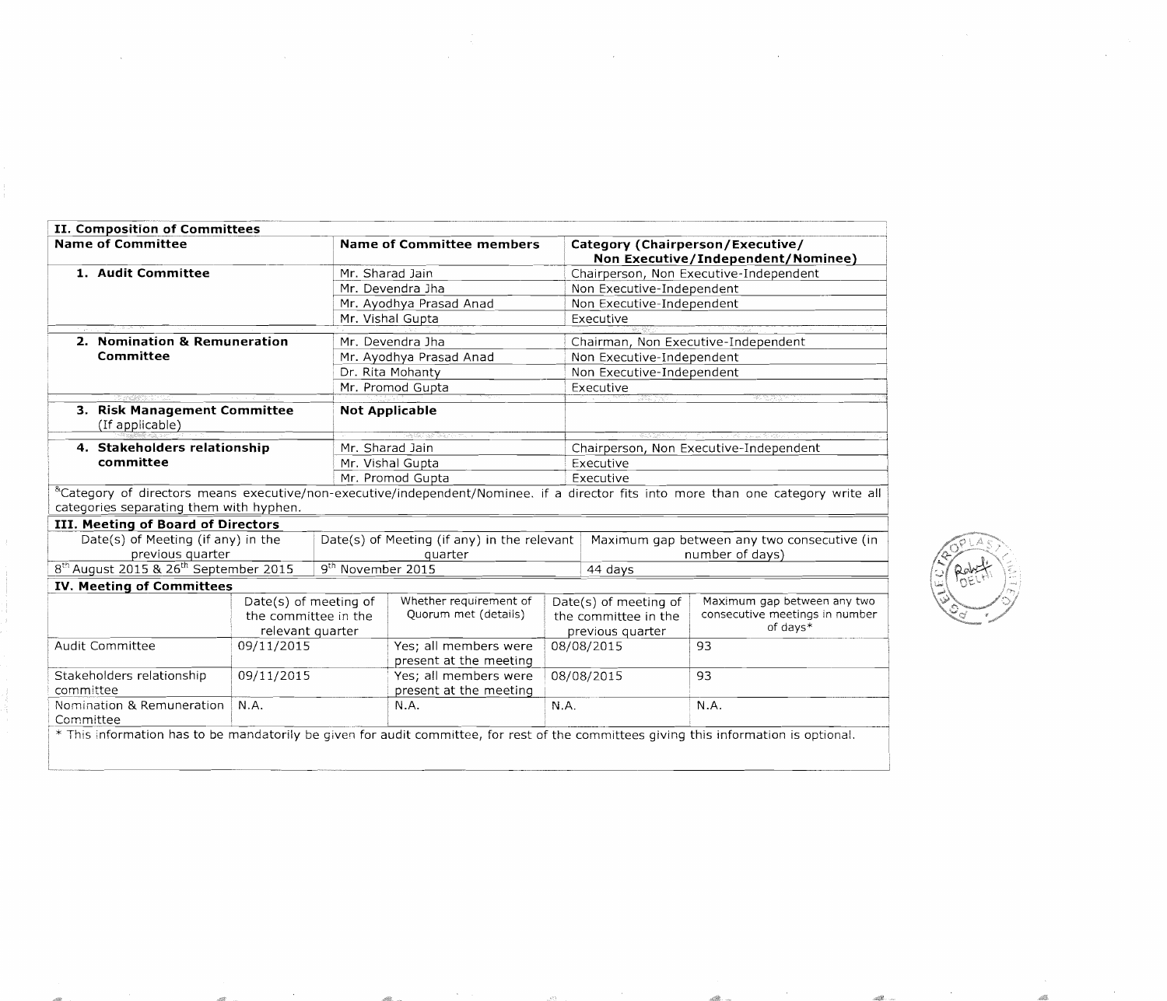| II. Composition of Committees                                 |                                                                   |                               |                                                 |                                                                   |                                                                                                                                                    |                                                                           |  |
|---------------------------------------------------------------|-------------------------------------------------------------------|-------------------------------|-------------------------------------------------|-------------------------------------------------------------------|----------------------------------------------------------------------------------------------------------------------------------------------------|---------------------------------------------------------------------------|--|
| <b>Name of Committee</b>                                      |                                                                   | Name of Committee members     |                                                 |                                                                   | Category (Chairperson/Executive/<br>Non Executive/Independent/Nominee)                                                                             |                                                                           |  |
| 1. Audit Committee                                            |                                                                   | Mr. Sharad Jain               |                                                 |                                                                   | Chairperson, Non Executive-Independent                                                                                                             |                                                                           |  |
|                                                               |                                                                   | Mr. Devendra Jha              |                                                 |                                                                   | Non Executive-Independent                                                                                                                          |                                                                           |  |
|                                                               |                                                                   |                               | Mr. Ayodhya Prasad Anad                         |                                                                   | Non Executive-Independent                                                                                                                          |                                                                           |  |
|                                                               |                                                                   |                               | Mr. Vishal Gupta                                |                                                                   | Executive                                                                                                                                          |                                                                           |  |
| 2. Nomination & Remuneration                                  |                                                                   | Mr. Devendra Jha              |                                                 |                                                                   | Chairman, Non Executive-Independent                                                                                                                |                                                                           |  |
| Committee                                                     | Mr. Ayodhya Prasad Anad                                           |                               |                                                 | Non Executive-Independent                                         |                                                                                                                                                    |                                                                           |  |
|                                                               |                                                                   | Dr. Rita Mohanty              |                                                 |                                                                   | Non Executive-Independent                                                                                                                          |                                                                           |  |
|                                                               |                                                                   |                               | Mr. Promod Gupta                                |                                                                   | Executive                                                                                                                                          |                                                                           |  |
| 3. Risk Management Committee<br>(If applicable)               |                                                                   |                               | <b>Not Applicable</b>                           |                                                                   |                                                                                                                                                    |                                                                           |  |
| 4. Stakeholders relationship                                  |                                                                   |                               | Mr. Sharad Jain                                 |                                                                   |                                                                                                                                                    | Chairperson, Non Executive-Independent                                    |  |
| committee                                                     | Mr. Vishal Gupta                                                  |                               |                                                 | Executive                                                         |                                                                                                                                                    |                                                                           |  |
|                                                               | Mr. Promod Gupta                                                  |                               |                                                 | Executive                                                         |                                                                                                                                                    |                                                                           |  |
|                                                               |                                                                   |                               |                                                 |                                                                   | <sup>&amp;</sup> Category of directors means executive/non-executive/independent/Nominee. if a director fits into more than one category write all |                                                                           |  |
| categories separating them with hyphen.                       |                                                                   |                               |                                                 |                                                                   |                                                                                                                                                    |                                                                           |  |
| III. Meeting of Board of Directors                            |                                                                   |                               |                                                 |                                                                   |                                                                                                                                                    |                                                                           |  |
| Date(s) of Meeting (if any) in the                            |                                                                   |                               | Date(s) of Meeting (if any) in the relevant     |                                                                   |                                                                                                                                                    | Maximum gap between any two consecutive (in                               |  |
| previous quarter                                              |                                                                   | quarter                       |                                                 |                                                                   | number of days)                                                                                                                                    |                                                                           |  |
| 8 <sup>th</sup> August 2015 & 26 <sup>th</sup> September 2015 |                                                                   | 9 <sup>th</sup> November 2015 |                                                 |                                                                   | 44 days                                                                                                                                            |                                                                           |  |
| <b>IV. Meeting of Committees</b>                              |                                                                   |                               |                                                 |                                                                   |                                                                                                                                                    |                                                                           |  |
|                                                               | Date(s) of meeting of<br>the committee in the<br>relevant quarter |                               | Whether requirement of<br>Quorum met (details)  | Date(s) of meeting of<br>the committee in the<br>previous quarter |                                                                                                                                                    | Maximum gap between any two<br>consecutive meetings in number<br>of days* |  |
| <b>Audit Committee</b>                                        | 09/11/2015                                                        |                               | Yes; all members were<br>present at the meeting |                                                                   | 08/08/2015                                                                                                                                         | 93                                                                        |  |
| Stakeholders relationship<br>committee                        | Yes; all members were<br>present at the meeting                   |                               | 08/08/2015                                      |                                                                   | 93                                                                                                                                                 |                                                                           |  |
| Nomination & Remuneration<br>N.A.<br>Committee                |                                                                   | N.A.                          |                                                 | N.A.                                                              |                                                                                                                                                    | N.A.                                                                      |  |